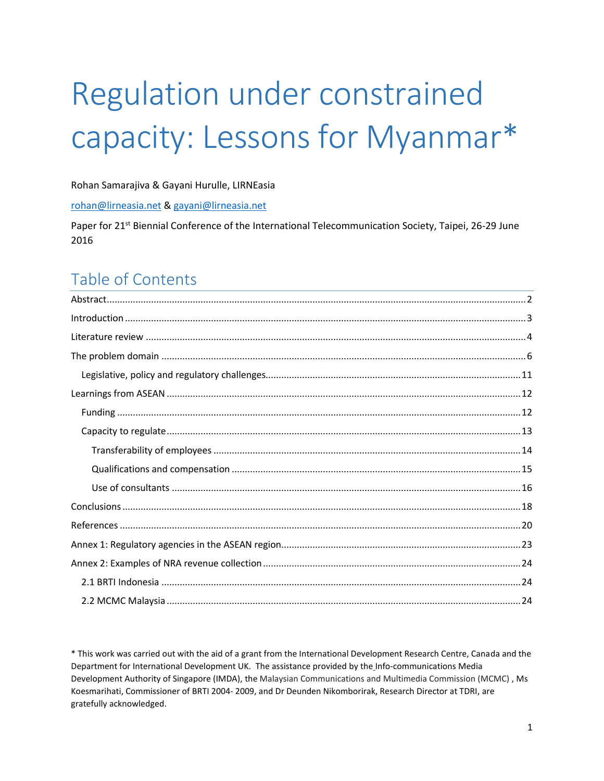# Regulation under constrained capacity: Lessons for Myanmar\*

Rohan Samarajiva & Gayani Hurulle, LIRNEasia

rohan@lirneasia.net & gayani@lirneasia.net

Paper for 21<sup>st</sup> Biennial Conference of the International Telecommunication Society, Taipei, 26-29 June 2016

### Table of Contents

\* This work was carried out with the aid of a grant from the International Development Research Centre, Canada and the Department for International Development UK. The assistance provided by the Info-communications Media Development Authority of Singapore (IMDA), the Malaysian Communications and Multimedia Commission (MCMC), Ms Koesmarihati, Commissioner of BRTI 2004-2009, and Dr Deunden Nikomborirak, Research Director at TDRI, are gratefully acknowledged.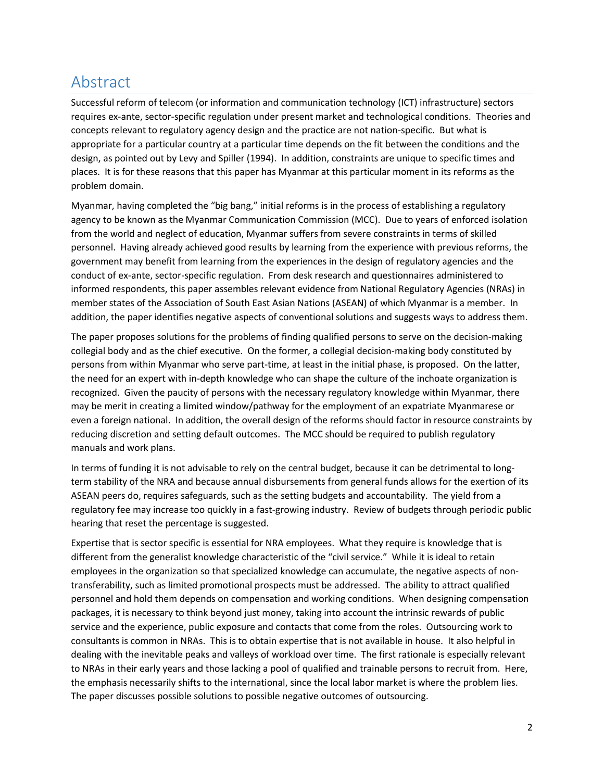### <span id="page-1-0"></span>Abstract

Successful reform of telecom (or information and communication technology (ICT) infrastructure) sectors requires ex-ante, sector-specific regulation under present market and technological conditions. Theories and concepts relevant to regulatory agency design and the practice are not nation-specific. But what is appropriate for a particular country at a particular time depends on the fit between the conditions and the design, as pointed out by Levy and Spiller (1994). In addition, constraints are unique to specific times and places. It is for these reasons that this paper has Myanmar at this particular moment in its reforms as the problem domain.

Myanmar, having completed the "big bang," initial reforms is in the process of establishing a regulatory agency to be known as the Myanmar Communication Commission (MCC). Due to years of enforced isolation from the world and neglect of education, Myanmar suffers from severe constraints in terms of skilled personnel. Having already achieved good results by learning from the experience with previous reforms, the government may benefit from learning from the experiences in the design of regulatory agencies and the conduct of ex-ante, sector-specific regulation. From desk research and questionnaires administered to informed respondents, this paper assembles relevant evidence from National Regulatory Agencies (NRAs) in member states of the Association of South East Asian Nations (ASEAN) of which Myanmar is a member. In addition, the paper identifies negative aspects of conventional solutions and suggests ways to address them.

The paper proposes solutions for the problems of finding qualified persons to serve on the decision-making collegial body and as the chief executive. On the former, a collegial decision-making body constituted by persons from within Myanmar who serve part-time, at least in the initial phase, is proposed. On the latter, the need for an expert with in-depth knowledge who can shape the culture of the inchoate organization is recognized. Given the paucity of persons with the necessary regulatory knowledge within Myanmar, there may be merit in creating a limited window/pathway for the employment of an expatriate Myanmarese or even a foreign national. In addition, the overall design of the reforms should factor in resource constraints by reducing discretion and setting default outcomes. The MCC should be required to publish regulatory manuals and work plans.

In terms of funding it is not advisable to rely on the central budget, because it can be detrimental to longterm stability of the NRA and because annual disbursements from general funds allows for the exertion of its ASEAN peers do, requires safeguards, such as the setting budgets and accountability. The yield from a regulatory fee may increase too quickly in a fast-growing industry. Review of budgets through periodic public hearing that reset the percentage is suggested.

Expertise that is sector specific is essential for NRA employees. What they require is knowledge that is different from the generalist knowledge characteristic of the "civil service." While it is ideal to retain employees in the organization so that specialized knowledge can accumulate, the negative aspects of nontransferability, such as limited promotional prospects must be addressed. The ability to attract qualified personnel and hold them depends on compensation and working conditions. When designing compensation packages, it is necessary to think beyond just money, taking into account the intrinsic rewards of public service and the experience, public exposure and contacts that come from the roles. Outsourcing work to consultants is common in NRAs. This is to obtain expertise that is not available in house. It also helpful in dealing with the inevitable peaks and valleys of workload over time. The first rationale is especially relevant to NRAs in their early years and those lacking a pool of qualified and trainable persons to recruit from. Here, the emphasis necessarily shifts to the international, since the local labor market is where the problem lies. The paper discusses possible solutions to possible negative outcomes of outsourcing.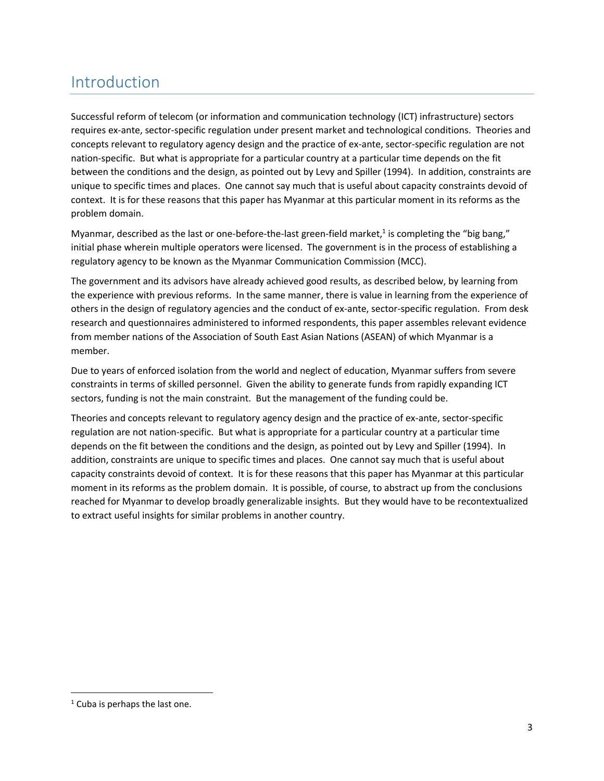### <span id="page-2-0"></span>Introduction

Successful reform of telecom (or information and communication technology (ICT) infrastructure) sectors requires ex-ante, sector-specific regulation under present market and technological conditions. Theories and concepts relevant to regulatory agency design and the practice of ex-ante, sector-specific regulation are not nation-specific. But what is appropriate for a particular country at a particular time depends on the fit between the conditions and the design, as pointed out by Levy and Spiller (1994). In addition, constraints are unique to specific times and places. One cannot say much that is useful about capacity constraints devoid of context. It is for these reasons that this paper has Myanmar at this particular moment in its reforms as the problem domain.

Myanmar, described as the last or one-before-the-last green-field market,<sup>1</sup> is completing the "big bang," initial phase wherein multiple operators were licensed. The government is in the process of establishing a regulatory agency to be known as the Myanmar Communication Commission (MCC).

The government and its advisors have already achieved good results, as described below, by learning from the experience with previous reforms. In the same manner, there is value in learning from the experience of others in the design of regulatory agencies and the conduct of ex-ante, sector-specific regulation. From desk research and questionnaires administered to informed respondents, this paper assembles relevant evidence from member nations of the Association of South East Asian Nations (ASEAN) of which Myanmar is a member.

Due to years of enforced isolation from the world and neglect of education, Myanmar suffers from severe constraints in terms of skilled personnel. Given the ability to generate funds from rapidly expanding ICT sectors, funding is not the main constraint. But the management of the funding could be.

Theories and concepts relevant to regulatory agency design and the practice of ex-ante, sector-specific regulation are not nation-specific. But what is appropriate for a particular country at a particular time depends on the fit between the conditions and the design, as pointed out by Levy and Spiller (1994). In addition, constraints are unique to specific times and places. One cannot say much that is useful about capacity constraints devoid of context. It is for these reasons that this paper has Myanmar at this particular moment in its reforms as the problem domain. It is possible, of course, to abstract up from the conclusions reached for Myanmar to develop broadly generalizable insights. But they would have to be recontextualized to extract useful insights for similar problems in another country.

l

 $1$  Cuba is perhaps the last one.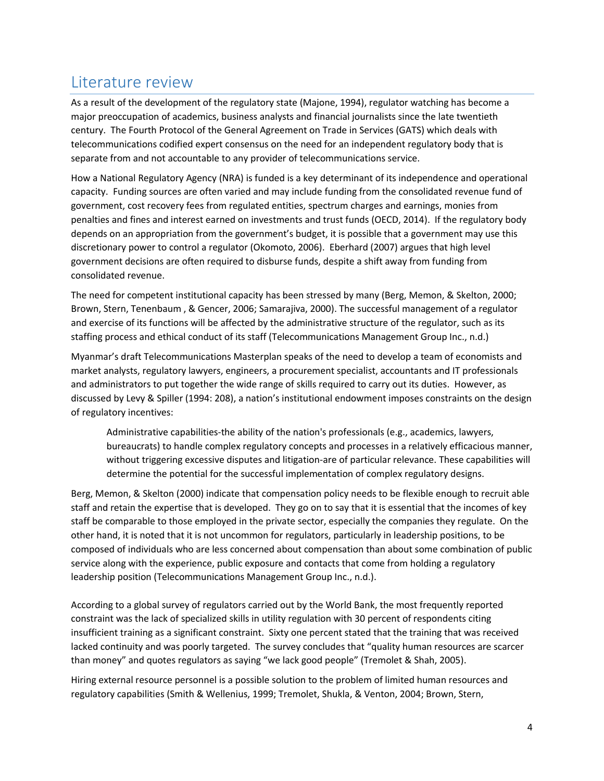### <span id="page-3-0"></span>Literature review

As a result of the development of the regulatory state (Majone, 1994), regulator watching has become a major preoccupation of academics, business analysts and financial journalists since the late twentieth century. The Fourth Protocol of the General Agreement on Trade in Services (GATS) which deals with telecommunications codified expert consensus on the need for an independent regulatory body that is separate from and not accountable to any provider of telecommunications service.

How a National Regulatory Agency (NRA) is funded is a key determinant of its independence and operational capacity. Funding sources are often varied and may include funding from the consolidated revenue fund of government, cost recovery fees from regulated entities, spectrum charges and earnings, monies from penalties and fines and interest earned on investments and trust funds (OECD, 2014). If the regulatory body depends on an appropriation from the government's budget, it is possible that a government may use this discretionary power to control a regulator (Okomoto, 2006). Eberhard (2007) argues that high level government decisions are often required to disburse funds, despite a shift away from funding from consolidated revenue.

The need for competent institutional capacity has been stressed by many (Berg, Memon, & Skelton, 2000; Brown, Stern, Tenenbaum , & Gencer, 2006; Samarajiva, 2000). The successful management of a regulator and exercise of its functions will be affected by the administrative structure of the regulator, such as its staffing process and ethical conduct of its staff (Telecommunications Management Group Inc., n.d.)

Myanmar's draft Telecommunications Masterplan speaks of the need to develop a team of economists and market analysts, regulatory lawyers, engineers, a procurement specialist, accountants and IT professionals and administrators to put together the wide range of skills required to carry out its duties. However, as discussed by Levy & Spiller (1994: 208), a nation's institutional endowment imposes constraints on the design of regulatory incentives:

Administrative capabilities-the ability of the nation's professionals (e.g., academics, lawyers, bureaucrats) to handle complex regulatory concepts and processes in a relatively efficacious manner, without triggering excessive disputes and litigation-are of particular relevance. These capabilities will determine the potential for the successful implementation of complex regulatory designs.

Berg, Memon, & Skelton (2000) indicate that compensation policy needs to be flexible enough to recruit able staff and retain the expertise that is developed. They go on to say that it is essential that the incomes of key staff be comparable to those employed in the private sector, especially the companies they regulate. On the other hand, it is noted that it is not uncommon for regulators, particularly in leadership positions, to be composed of individuals who are less concerned about compensation than about some combination of public service along with the experience, public exposure and contacts that come from holding a regulatory leadership position (Telecommunications Management Group Inc., n.d.).

According to a global survey of regulators carried out by the World Bank, the most frequently reported constraint was the lack of specialized skills in utility regulation with 30 percent of respondents citing insufficient training as a significant constraint. Sixty one percent stated that the training that was received lacked continuity and was poorly targeted. The survey concludes that "quality human resources are scarcer than money" and quotes regulators as saying "we lack good people" (Tremolet & Shah, 2005).

Hiring external resource personnel is a possible solution to the problem of limited human resources and regulatory capabilities (Smith & Wellenius, 1999; Tremolet, Shukla, & Venton, 2004; Brown, Stern,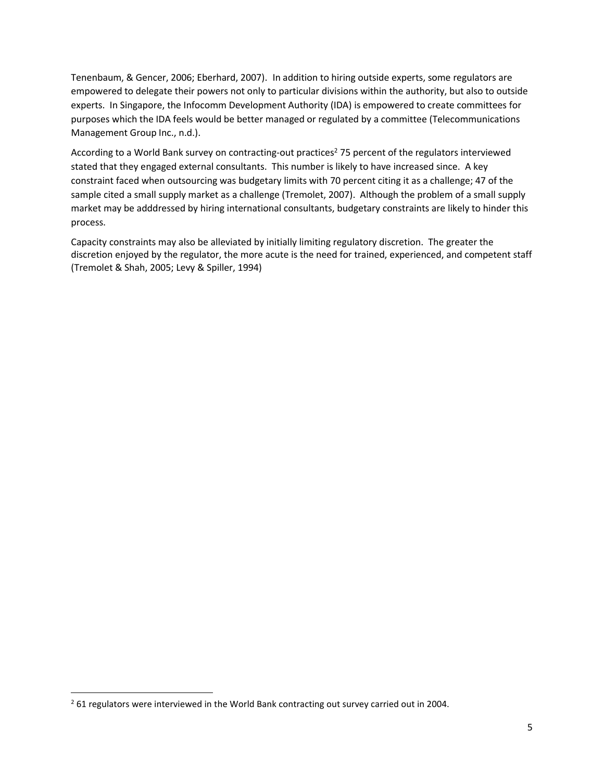Tenenbaum, & Gencer, 2006; Eberhard, 2007). In addition to hiring outside experts, some regulators are empowered to delegate their powers not only to particular divisions within the authority, but also to outside experts. In Singapore, the Infocomm Development Authority (IDA) is empowered to create committees for purposes which the IDA feels would be better managed or regulated by a committee (Telecommunications Management Group Inc., n.d.).

According to a World Bank survey on contracting-out practices<sup>2</sup> 75 percent of the regulators interviewed stated that they engaged external consultants. This number is likely to have increased since. A key constraint faced when outsourcing was budgetary limits with 70 percent citing it as a challenge; 47 of the sample cited a small supply market as a challenge (Tremolet, 2007). Although the problem of a small supply market may be adddressed by hiring international consultants, budgetary constraints are likely to hinder this process.

Capacity constraints may also be alleviated by initially limiting regulatory discretion. The greater the discretion enjoyed by the regulator, the more acute is the need for trained, experienced, and competent staff (Tremolet & Shah, 2005; Levy & Spiller, 1994)

l

 $261$  regulators were interviewed in the World Bank contracting out survey carried out in 2004.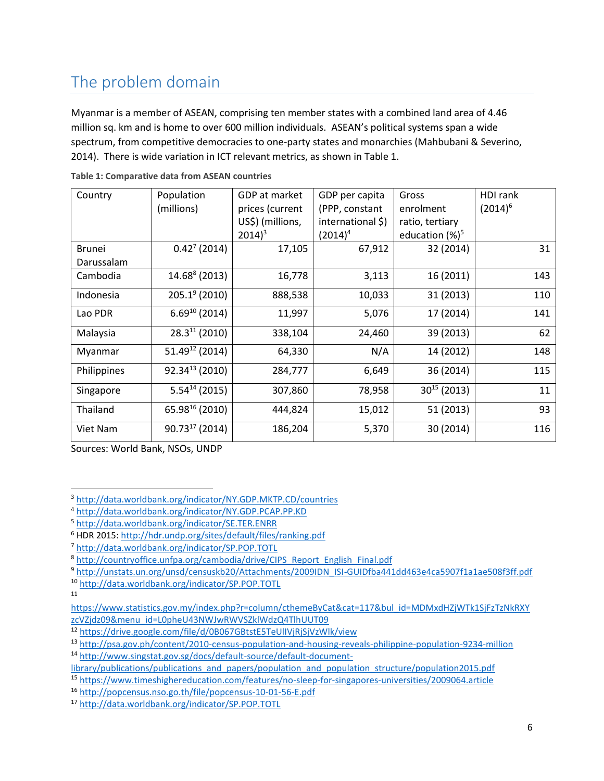## <span id="page-5-0"></span>The problem domain

Myanmar is a member of ASEAN, comprising ten member states with a combined land area of 4.46 million sq. km and is home to over 600 million individuals. ASEAN's political systems span a wide spectrum, from competitive democracies to one-party states and monarchies (Mahbubani & Severino, 2014). There is wide variation in ICT relevant metrics, as shown in Table 1.

| Country       | Population<br>(millions)   | GDP at market<br>prices (current<br>US\$) (millions, | GDP per capita<br>(PPP, constant<br>international \$) | Gross<br>enrolment<br>ratio, tertiary | HDI rank<br>$(2014)^6$ |
|---------------|----------------------------|------------------------------------------------------|-------------------------------------------------------|---------------------------------------|------------------------|
|               |                            | $2014$ <sup>3</sup>                                  | $(2014)^4$                                            | education $(%)^5$                     |                        |
| <b>Brunei</b> | $0.427$ (2014)             | 17,105                                               | 67,912                                                | 32 (2014)                             | 31                     |
| Darussalam    |                            |                                                      |                                                       |                                       |                        |
| Cambodia      | 14.68 (2013)               | 16,778                                               | 3,113                                                 | 16 (2011)                             | 143                    |
| Indonesia     | $205.19$ (2010)            | 888,538                                              | 10,033                                                | 31 (2013)                             | 110                    |
| Lao PDR       | $6.69^{10}$ (2014)         | 11,997                                               | 5,076                                                 | 17 (2014)                             | 141                    |
| Malaysia      | $28.3^{11}$ (2010)         | 338,104                                              | 24,460                                                | 39 (2013)                             | 62                     |
| Myanmar       | 51.49 <sup>12</sup> (2014) | 64,330                                               | N/A                                                   | 14 (2012)                             | 148                    |
| Philippines   | $92.34^{13}$ (2010)        | 284,777                                              | 6,649                                                 | 36 (2014)                             | 115                    |
| Singapore     | $5.54^{14}$ (2015)         | 307,860                                              | 78,958                                                | $30^{15}$ (2013)                      | 11                     |
| Thailand      | 65.98 <sup>16</sup> (2010) | 444,824                                              | 15,012                                                | 51 (2013)                             | 93                     |
| Viet Nam      | $90.73^{17}$ (2014)        | 186,204                                              | 5,370                                                 | 30 (2014)                             | 116                    |

**Table 1: Comparative data from ASEAN countries**

Sources: World Bank, NSOs, UNDP

 $\overline{a}$ 

<sup>3</sup> <http://data.worldbank.org/indicator/NY.GDP.MKTP.CD/countries>

<sup>4</sup> <http://data.worldbank.org/indicator/NY.GDP.PCAP.PP.KD>

<sup>5</sup> <http://data.worldbank.org/indicator/SE.TER.ENRR>

<sup>6</sup> HDR 2015:<http://hdr.undp.org/sites/default/files/ranking.pdf>

<sup>7</sup> <http://data.worldbank.org/indicator/SP.POP.TOTL>

<sup>8</sup> [http://countryoffice.unfpa.org/cambodia/drive/CIPS\\_Report\\_English\\_Final.pdf](http://countryoffice.unfpa.org/cambodia/drive/CIPS_Report_English_Final.pdf)

<sup>9</sup> [http://unstats.un.org/unsd/censuskb20/Attachments/2009IDN\\_ISI-GUIDfba441dd463e4ca5907f1a1ae508f3ff.pdf](http://unstats.un.org/unsd/censuskb20/Attachments/2009IDN_ISI-GUIDfba441dd463e4ca5907f1a1ae508f3ff.pdf)

<sup>10</sup> <http://data.worldbank.org/indicator/SP.POP.TOTL>

<sup>11</sup>

[https://www.statistics.gov.my/index.php?r=column/cthemeByCat&cat=117&bul\\_id=MDMxdHZjWTk1SjFzTzNkRXY](https://www.statistics.gov.my/index.php?r=column/cthemeByCat&cat=117&bul_id=MDMxdHZjWTk1SjFzTzNkRXYzcVZjdz09&menu_id=L0pheU43NWJwRWVSZklWdzQ4TlhUUT09) [zcVZjdz09&menu\\_id=L0pheU43NWJwRWVSZklWdzQ4TlhUUT09](https://www.statistics.gov.my/index.php?r=column/cthemeByCat&cat=117&bul_id=MDMxdHZjWTk1SjFzTzNkRXYzcVZjdz09&menu_id=L0pheU43NWJwRWVSZklWdzQ4TlhUUT09)

<sup>12</sup> <https://drive.google.com/file/d/0B067GBtstE5TeUlIVjRjSjVzWlk/view>

<sup>13</sup> <http://psa.gov.ph/content/2010-census-population-and-housing-reveals-philippine-population-9234-million>

<sup>14</sup> [http://www.singstat.gov.sg/docs/default-source/default-document-](http://www.singstat.gov.sg/docs/default-source/default-document-library/publications/publications_and_papers/population_and_population_structure/population2015.pdf)

[library/publications/publications\\_and\\_papers/population\\_and\\_population\\_structure/population2015.pdf](http://www.singstat.gov.sg/docs/default-source/default-document-library/publications/publications_and_papers/population_and_population_structure/population2015.pdf) <sup>15</sup> <https://www.timeshighereducation.com/features/no-sleep-for-singapores-universities/2009064.article>

<sup>16</sup> <http://popcensus.nso.go.th/file/popcensus-10-01-56-E.pdf>

<sup>17</sup> <http://data.worldbank.org/indicator/SP.POP.TOTL>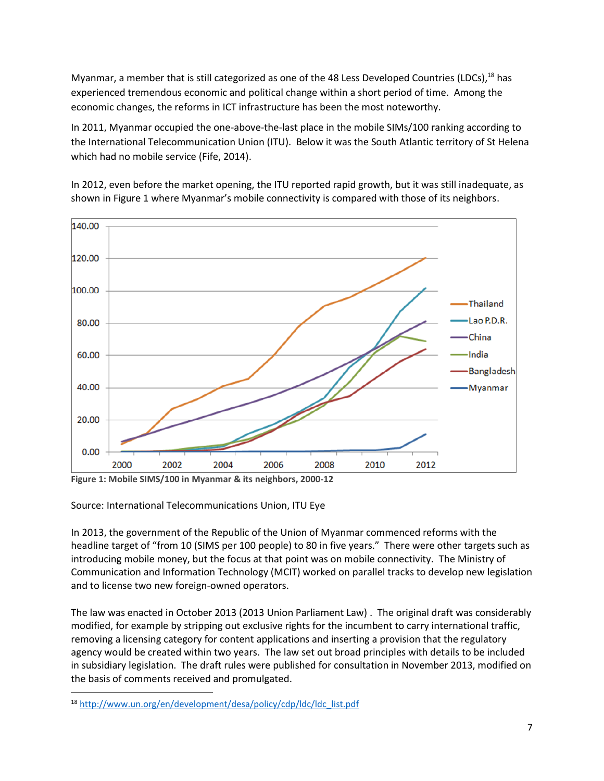Myanmar, a member that is still categorized as one of the 48 Less Developed Countries (LDCs),<sup>18</sup> has experienced tremendous economic and political change within a short period of time. Among the economic changes, the reforms in ICT infrastructure has been the most noteworthy.

In 2011, Myanmar occupied the one-above-the-last place in the mobile SIMs/100 ranking according to the International Telecommunication Union (ITU). Below it was the South Atlantic territory of St Helena which had no mobile service (Fife, 2014).

In 2012, even before the market opening, the ITU reported rapid growth, but it was still inadequate, as shown in Figure 1 where Myanmar's mobile connectivity is compared with those of its neighbors.



**Figure 1: Mobile SIMS/100 in Myanmar & its neighbors, 2000-12**

Source: International Telecommunications Union, ITU Eye

In 2013, the government of the Republic of the Union of Myanmar commenced reforms with the headline target of "from 10 (SIMS per 100 people) to 80 in five years." There were other targets such as introducing mobile money, but the focus at that point was on mobile connectivity. The Ministry of Communication and Information Technology (MCIT) worked on parallel tracks to develop new legislation and to license two new foreign-owned operators.

The law was enacted in October 2013 (2013 Union Parliament Law) . The original draft was considerably modified, for example by stripping out exclusive rights for the incumbent to carry international traffic, removing a licensing category for content applications and inserting a provision that the regulatory agency would be created within two years. The law set out broad principles with details to be included in subsidiary legislation. The draft rules were published for consultation in November 2013, modified on the basis of comments received and promulgated.

l <sup>18</sup> [http://www.un.org/en/development/desa/policy/cdp/ldc/ldc\\_list.pdf](http://www.un.org/en/development/desa/policy/cdp/ldc/ldc_list.pdf)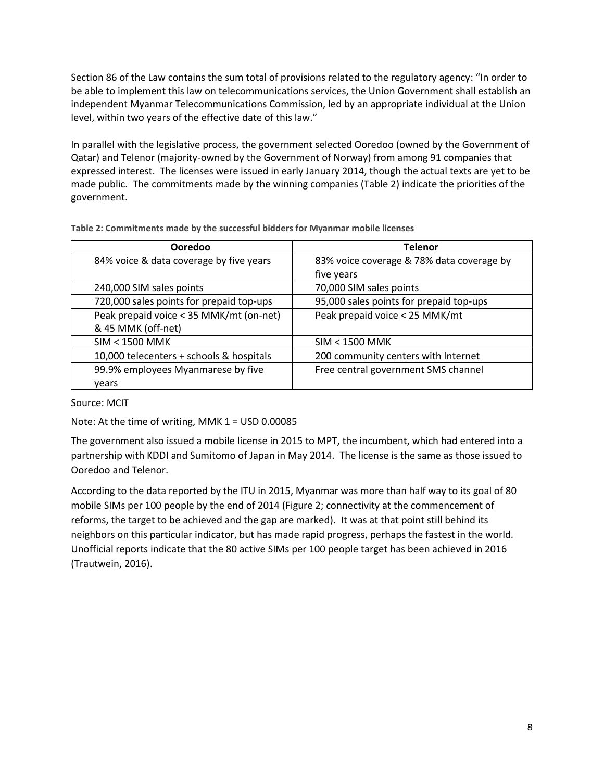Section 86 of the Law contains the sum total of provisions related to the regulatory agency: "In order to be able to implement this law on telecommunications services, the Union Government shall establish an independent Myanmar Telecommunications Commission, led by an appropriate individual at the Union level, within two years of the effective date of this law."

In parallel with the legislative process, the government selected Ooredoo (owned by the Government of Qatar) and Telenor (majority-owned by the Government of Norway) from among 91 companies that expressed interest. The licenses were issued in early January 2014, though the actual texts are yet to be made public. The commitments made by the winning companies (Table 2) indicate the priorities of the government.

| Ooredoo                                  | <b>Telenor</b>                            |
|------------------------------------------|-------------------------------------------|
| 84% voice & data coverage by five years  | 83% voice coverage & 78% data coverage by |
|                                          | five years                                |
| 240,000 SIM sales points                 | 70,000 SIM sales points                   |
| 720,000 sales points for prepaid top-ups | 95,000 sales points for prepaid top-ups   |
| Peak prepaid voice < 35 MMK/mt (on-net)  | Peak prepaid voice < 25 MMK/mt            |
| & 45 MMK (off-net)                       |                                           |
| <b>SIM &lt; 1500 MMK</b>                 | <b>SIM &lt; 1500 MMK</b>                  |
| 10,000 telecenters + schools & hospitals | 200 community centers with Internet       |
| 99.9% employees Myanmarese by five       | Free central government SMS channel       |
| years                                    |                                           |

**Table 2: Commitments made by the successful bidders for Myanmar mobile licenses**

Source: MCIT

Note: At the time of writing, MMK 1 = USD 0.00085

The government also issued a mobile license in 2015 to MPT, the incumbent, which had entered into a partnership with KDDI and Sumitomo of Japan in May 2014. The license is the same as those issued to Ooredoo and Telenor.

According to the data reported by the ITU in 2015, Myanmar was more than half way to its goal of 80 mobile SIMs per 100 people by the end of 2014 (Figure 2; connectivity at the commencement of reforms, the target to be achieved and the gap are marked). It was at that point still behind its neighbors on this particular indicator, but has made rapid progress, perhaps the fastest in the world. Unofficial reports indicate that the 80 active SIMs per 100 people target has been achieved in 2016 (Trautwein, 2016).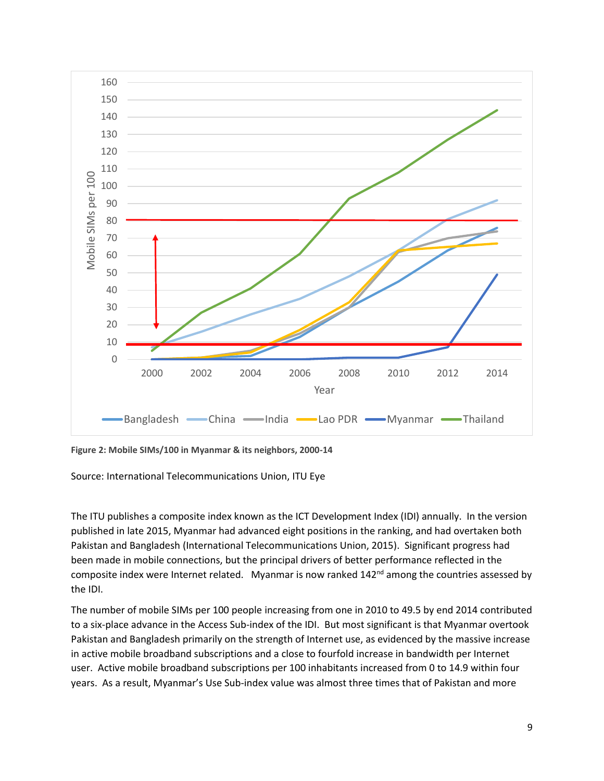

**Figure 2: Mobile SIMs/100 in Myanmar & its neighbors, 2000-14**

Source: International Telecommunications Union, ITU Eye

The ITU publishes a composite index known as the ICT Development Index (IDI) annually. In the version published in late 2015, Myanmar had advanced eight positions in the ranking, and had overtaken both Pakistan and Bangladesh (International Telecommunications Union, 2015). Significant progress had been made in mobile connections, but the principal drivers of better performance reflected in the composite index were Internet related. Myanmar is now ranked 142<sup>nd</sup> among the countries assessed by the IDI.

The number of mobile SIMs per 100 people increasing from one in 2010 to 49.5 by end 2014 contributed to a six-place advance in the Access Sub-index of the IDI. But most significant is that Myanmar overtook Pakistan and Bangladesh primarily on the strength of Internet use, as evidenced by the massive increase in active mobile broadband subscriptions and a close to fourfold increase in bandwidth per Internet user. Active mobile broadband subscriptions per 100 inhabitants increased from 0 to 14.9 within four years. As a result, Myanmar's Use Sub-index value was almost three times that of Pakistan and more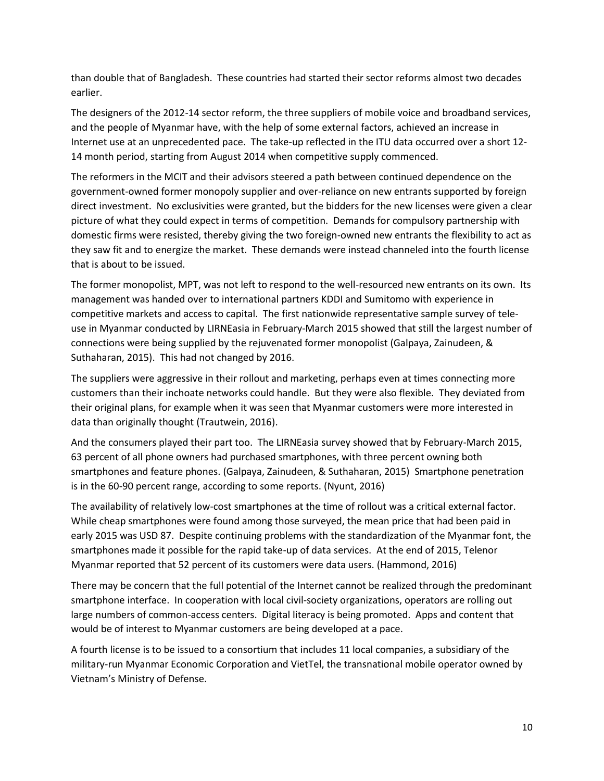than double that of Bangladesh. These countries had started their sector reforms almost two decades earlier.

The designers of the 2012-14 sector reform, the three suppliers of mobile voice and broadband services, and the people of Myanmar have, with the help of some external factors, achieved an increase in Internet use at an unprecedented pace. The take-up reflected in the ITU data occurred over a short 12- 14 month period, starting from August 2014 when competitive supply commenced.

The reformers in the MCIT and their advisors steered a path between continued dependence on the government-owned former monopoly supplier and over-reliance on new entrants supported by foreign direct investment. No exclusivities were granted, but the bidders for the new licenses were given a clear picture of what they could expect in terms of competition. Demands for compulsory partnership with domestic firms were resisted, thereby giving the two foreign-owned new entrants the flexibility to act as they saw fit and to energize the market. These demands were instead channeled into the fourth license that is about to be issued.

The former monopolist, MPT, was not left to respond to the well-resourced new entrants on its own. Its management was handed over to international partners KDDI and Sumitomo with experience in competitive markets and access to capital. The first nationwide representative sample survey of teleuse in Myanmar conducted by LIRNEasia in February-March 2015 showed that still the largest number of connections were being supplied by the rejuvenated former monopolist (Galpaya, Zainudeen, & Suthaharan, 2015). This had not changed by 2016.

The suppliers were aggressive in their rollout and marketing, perhaps even at times connecting more customers than their inchoate networks could handle. But they were also flexible. They deviated from their original plans, for example when it was seen that Myanmar customers were more interested in data than originally thought (Trautwein, 2016).

And the consumers played their part too. The LIRNEasia survey showed that by February-March 2015, 63 percent of all phone owners had purchased smartphones, with three percent owning both smartphones and feature phones. (Galpaya, Zainudeen, & Suthaharan, 2015) Smartphone penetration is in the 60-90 percent range, according to some reports. (Nyunt, 2016)

The availability of relatively low-cost smartphones at the time of rollout was a critical external factor. While cheap smartphones were found among those surveyed, the mean price that had been paid in early 2015 was USD 87. Despite continuing problems with the standardization of the Myanmar font, the smartphones made it possible for the rapid take-up of data services. At the end of 2015, Telenor Myanmar reported that 52 percent of its customers were data users. (Hammond, 2016)

There may be concern that the full potential of the Internet cannot be realized through the predominant smartphone interface. In cooperation with local civil-society organizations, operators are rolling out large numbers of common-access centers. Digital literacy is being promoted. Apps and content that would be of interest to Myanmar customers are being developed at a pace.

A fourth license is to be issued to a consortium that includes 11 local companies, a subsidiary of the military-run Myanmar Economic Corporation and VietTel, the transnational mobile operator owned by Vietnam's Ministry of Defense.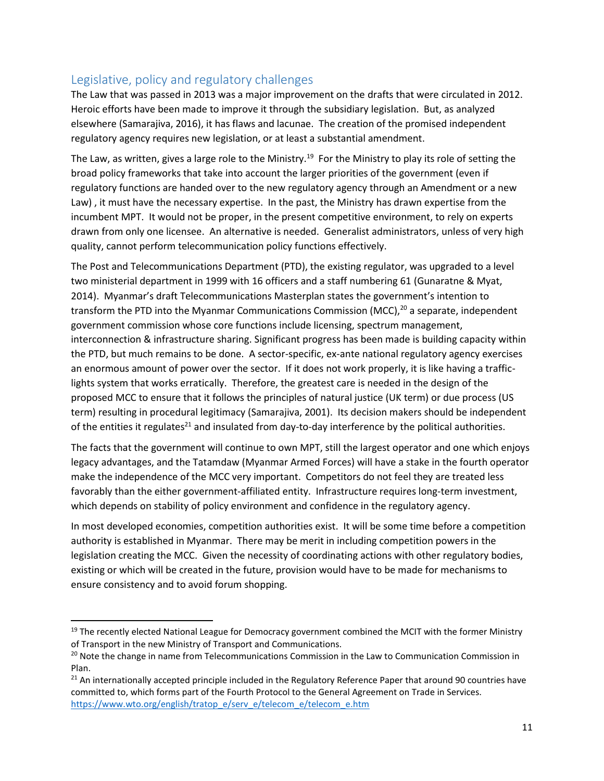#### <span id="page-10-0"></span>Legislative, policy and regulatory challenges

 $\overline{a}$ 

The Law that was passed in 2013 was a major improvement on the drafts that were circulated in 2012. Heroic efforts have been made to improve it through the subsidiary legislation. But, as analyzed elsewhere (Samarajiva, 2016), it has flaws and lacunae. The creation of the promised independent regulatory agency requires new legislation, or at least a substantial amendment.

The Law, as written, gives a large role to the Ministry.<sup>19</sup> For the Ministry to play its role of setting the broad policy frameworks that take into account the larger priorities of the government (even if regulatory functions are handed over to the new regulatory agency through an Amendment or a new Law) , it must have the necessary expertise. In the past, the Ministry has drawn expertise from the incumbent MPT. It would not be proper, in the present competitive environment, to rely on experts drawn from only one licensee. An alternative is needed. Generalist administrators, unless of very high quality, cannot perform telecommunication policy functions effectively.

The Post and Telecommunications Department (PTD), the existing regulator, was upgraded to a level two ministerial department in 1999 with 16 officers and a staff numbering 61 (Gunaratne & Myat, 2014). Myanmar's draft Telecommunications Masterplan states the government's intention to transform the PTD into the Myanmar Communications Commission (MCC), $^{20}$  a separate, independent government commission whose core functions include licensing, spectrum management, interconnection & infrastructure sharing. Significant progress has been made is building capacity within the PTD, but much remains to be done. A sector-specific, ex-ante national regulatory agency exercises an enormous amount of power over the sector. If it does not work properly, it is like having a trafficlights system that works erratically. Therefore, the greatest care is needed in the design of the proposed MCC to ensure that it follows the principles of natural justice (UK term) or due process (US term) resulting in procedural legitimacy (Samarajiva, 2001). Its decision makers should be independent of the entities it regulates<sup>21</sup> and insulated from day-to-day interference by the political authorities.

The facts that the government will continue to own MPT, still the largest operator and one which enjoys legacy advantages, and the Tatamdaw (Myanmar Armed Forces) will have a stake in the fourth operator make the independence of the MCC very important. Competitors do not feel they are treated less favorably than the either government-affiliated entity. Infrastructure requires long-term investment, which depends on stability of policy environment and confidence in the regulatory agency.

In most developed economies, competition authorities exist. It will be some time before a competition authority is established in Myanmar. There may be merit in including competition powers in the legislation creating the MCC. Given the necessity of coordinating actions with other regulatory bodies, existing or which will be created in the future, provision would have to be made for mechanisms to ensure consistency and to avoid forum shopping.

 $19$  The recently elected National League for Democracy government combined the MCIT with the former Ministry of Transport in the new Ministry of Transport and Communications.

<sup>&</sup>lt;sup>20</sup> Note the change in name from Telecommunications Commission in the Law to Communication Commission in Plan.

 $21$  An internationally accepted principle included in the Regulatory Reference Paper that around 90 countries have committed to, which forms part of the Fourth Protocol to the General Agreement on Trade in Services. [https://www.wto.org/english/tratop\\_e/serv\\_e/telecom\\_e/telecom\\_e.htm](https://www.wto.org/english/tratop_e/serv_e/telecom_e/telecom_e.htm)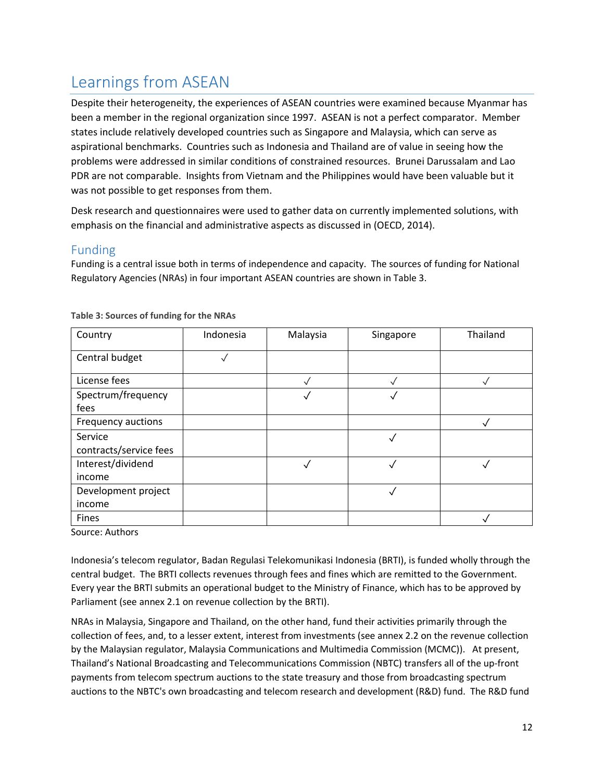### <span id="page-11-0"></span>Learnings from ASEAN

Despite their heterogeneity, the experiences of ASEAN countries were examined because Myanmar has been a member in the regional organization since 1997. ASEAN is not a perfect comparator. Member states include relatively developed countries such as Singapore and Malaysia, which can serve as aspirational benchmarks. Countries such as Indonesia and Thailand are of value in seeing how the problems were addressed in similar conditions of constrained resources. Brunei Darussalam and Lao PDR are not comparable. Insights from Vietnam and the Philippines would have been valuable but it was not possible to get responses from them.

Desk research and questionnaires were used to gather data on currently implemented solutions, with emphasis on the financial and administrative aspects as discussed in (OECD, 2014).

#### <span id="page-11-1"></span>Funding

Funding is a central issue both in terms of independence and capacity. The sources of funding for National Regulatory Agencies (NRAs) in four important ASEAN countries are shown in Table 3.

| Country                           | Indonesia    | Malaysia | Singapore    | Thailand |
|-----------------------------------|--------------|----------|--------------|----------|
| Central budget                    | $\checkmark$ |          |              |          |
| License fees                      |              |          |              |          |
| Spectrum/frequency                |              | ◡        | ◡            |          |
| fees<br>Frequency auctions        |              |          |              |          |
| Service<br>contracts/service fees |              |          |              |          |
| Interest/dividend<br>income       |              |          |              |          |
| Development project<br>income     |              |          | $\checkmark$ |          |
| Fines                             |              |          |              |          |

**Table 3: Sources of funding for the NRAs**

Source: Authors

Indonesia's telecom regulator, Badan Regulasi Telekomunikasi Indonesia (BRTI), is funded wholly through the central budget. The BRTI collects revenues through fees and fines which are remitted to the Government. Every year the BRTI submits an operational budget to the Ministry of Finance, which has to be approved by Parliament (see annex 2.1 on revenue collection by the BRTI).

NRAs in Malaysia, Singapore and Thailand, on the other hand, fund their activities primarily through the collection of fees, and, to a lesser extent, interest from investments (see annex 2.2 on the revenue collection by the Malaysian regulator, Malaysia Communications and Multimedia Commission (MCMC)). At present, Thailand's National Broadcasting and Telecommunications Commission (NBTC) transfers all of the up-front payments from telecom spectrum auctions to the state treasury and those from broadcasting spectrum auctions to the NBTC's own broadcasting and telecom research and development (R&D) fund. The R&D fund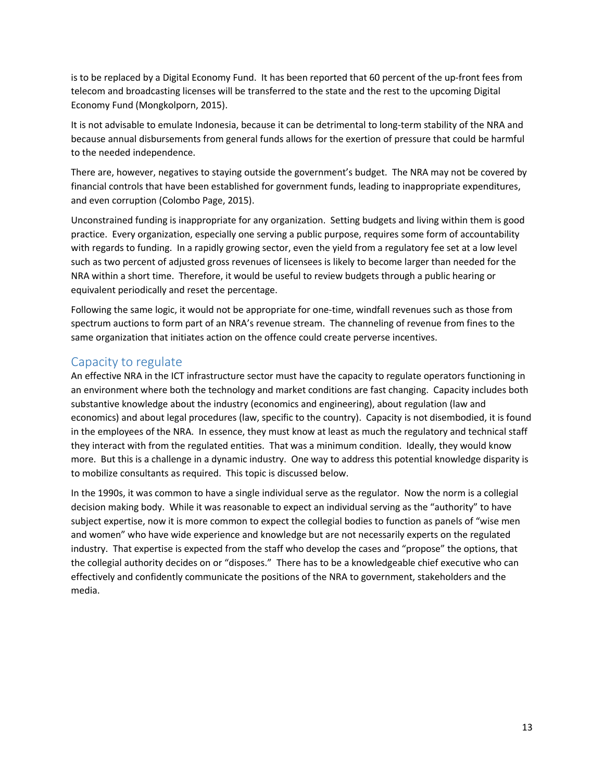is to be replaced by a Digital Economy Fund. It has been reported that 60 percent of the up-front fees from telecom and broadcasting licenses will be transferred to the state and the rest to the upcoming Digital Economy Fund (Mongkolporn, 2015).

It is not advisable to emulate Indonesia, because it can be detrimental to long-term stability of the NRA and because annual disbursements from general funds allows for the exertion of pressure that could be harmful to the needed independence.

There are, however, negatives to staying outside the government's budget. The NRA may not be covered by financial controls that have been established for government funds, leading to inappropriate expenditures, and even corruption (Colombo Page, 2015).

Unconstrained funding is inappropriate for any organization. Setting budgets and living within them is good practice. Every organization, especially one serving a public purpose, requires some form of accountability with regards to funding. In a rapidly growing sector, even the yield from a regulatory fee set at a low level such as two percent of adjusted gross revenues of licensees is likely to become larger than needed for the NRA within a short time. Therefore, it would be useful to review budgets through a public hearing or equivalent periodically and reset the percentage.

Following the same logic, it would not be appropriate for one-time, windfall revenues such as those from spectrum auctions to form part of an NRA's revenue stream. The channeling of revenue from fines to the same organization that initiates action on the offence could create perverse incentives.

#### <span id="page-12-0"></span>Capacity to regulate

An effective NRA in the ICT infrastructure sector must have the capacity to regulate operators functioning in an environment where both the technology and market conditions are fast changing. Capacity includes both substantive knowledge about the industry (economics and engineering), about regulation (law and economics) and about legal procedures (law, specific to the country). Capacity is not disembodied, it is found in the employees of the NRA. In essence, they must know at least as much the regulatory and technical staff they interact with from the regulated entities. That was a minimum condition. Ideally, they would know more. But this is a challenge in a dynamic industry. One way to address this potential knowledge disparity is to mobilize consultants as required. This topic is discussed below.

In the 1990s, it was common to have a single individual serve as the regulator. Now the norm is a collegial decision making body. While it was reasonable to expect an individual serving as the "authority" to have subject expertise, now it is more common to expect the collegial bodies to function as panels of "wise men and women" who have wide experience and knowledge but are not necessarily experts on the regulated industry. That expertise is expected from the staff who develop the cases and "propose" the options, that the collegial authority decides on or "disposes." There has to be a knowledgeable chief executive who can effectively and confidently communicate the positions of the NRA to government, stakeholders and the media.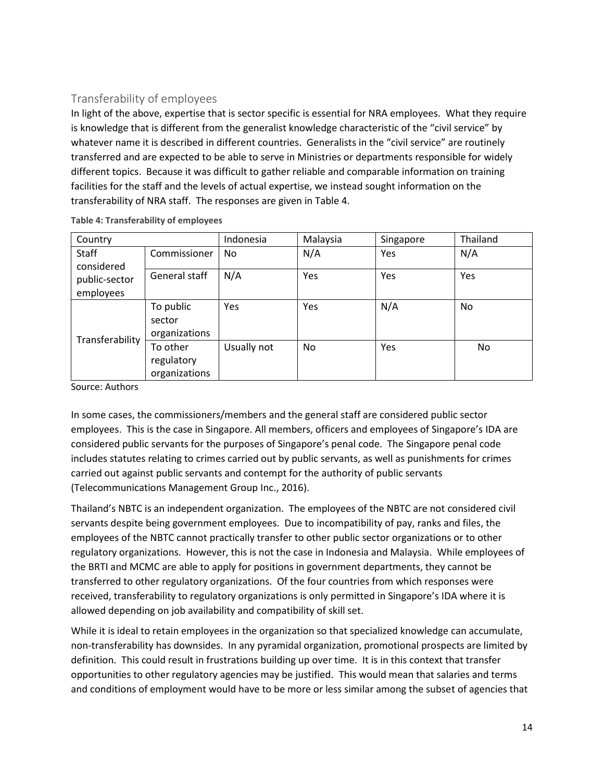#### <span id="page-13-0"></span>Transferability of employees

In light of the above, expertise that is sector specific is essential for NRA employees. What they require is knowledge that is different from the generalist knowledge characteristic of the "civil service" by whatever name it is described in different countries. Generalists in the "civil service" are routinely transferred and are expected to be able to serve in Ministries or departments responsible for widely different topics. Because it was difficult to gather reliable and comparable information on training facilities for the staff and the levels of actual expertise, we instead sought information on the transferability of NRA staff. The responses are given in Table 4.

| Country                    |                                         | Indonesia   | Malaysia | Singapore | Thailand |
|----------------------------|-----------------------------------------|-------------|----------|-----------|----------|
| Staff<br>considered        | Commissioner                            | No.         | N/A      | Yes       | N/A      |
| public-sector<br>employees | General staff                           | N/A         | Yes      | Yes       | Yes      |
|                            | To public<br>sector<br>organizations    | Yes         | Yes      | N/A       | No.      |
| Transferability            | To other<br>regulatory<br>organizations | Usually not | No       | Yes       | No.      |

**Table 4: Transferability of employees**

Source: Authors

In some cases, the commissioners/members and the general staff are considered public sector employees. This is the case in Singapore. All members, officers and employees of Singapore's IDA are considered public servants for the purposes of Singapore's penal code. The Singapore penal code includes statutes relating to crimes carried out by public servants, as well as punishments for crimes carried out against public servants and contempt for the authority of public servants (Telecommunications Management Group Inc., 2016).

Thailand's NBTC is an independent organization. The employees of the NBTC are not considered civil servants despite being government employees. Due to incompatibility of pay, ranks and files, the employees of the NBTC cannot practically transfer to other public sector organizations or to other regulatory organizations. However, this is not the case in Indonesia and Malaysia. While employees of the BRTI and MCMC are able to apply for positions in government departments, they cannot be transferred to other regulatory organizations. Of the four countries from which responses were received, transferability to regulatory organizations is only permitted in Singapore's IDA where it is allowed depending on job availability and compatibility of skill set.

While it is ideal to retain employees in the organization so that specialized knowledge can accumulate, non-transferability has downsides. In any pyramidal organization, promotional prospects are limited by definition. This could result in frustrations building up over time. It is in this context that transfer opportunities to other regulatory agencies may be justified. This would mean that salaries and terms and conditions of employment would have to be more or less similar among the subset of agencies that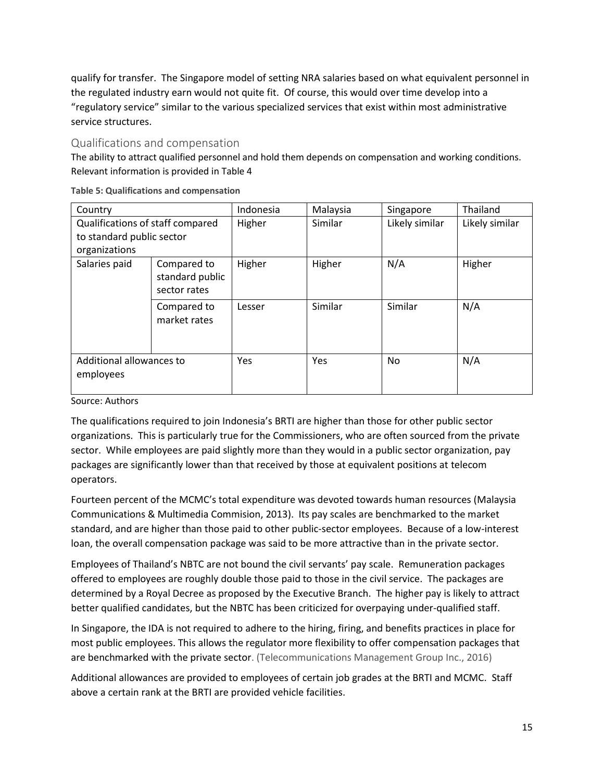qualify for transfer. The Singapore model of setting NRA salaries based on what equivalent personnel in the regulated industry earn would not quite fit. Of course, this would over time develop into a "regulatory service" similar to the various specialized services that exist within most administrative service structures.

#### <span id="page-14-0"></span>Qualifications and compensation

The ability to attract qualified personnel and hold them depends on compensation and working conditions. Relevant information is provided in Table 4

| Country                               |                                                | Indonesia | Malaysia | Singapore      | Thailand       |
|---------------------------------------|------------------------------------------------|-----------|----------|----------------|----------------|
| Qualifications of staff compared      |                                                | Higher    | Similar  | Likely similar | Likely similar |
| to standard public sector             |                                                |           |          |                |                |
| organizations                         |                                                |           |          |                |                |
| Salaries paid                         | Compared to<br>standard public<br>sector rates | Higher    | Higher   | N/A            | Higher         |
|                                       | Compared to<br>market rates                    | Lesser    | Similar  | Similar        | N/A            |
| Additional allowances to<br>employees |                                                | Yes       | Yes      | No.            | N/A            |

**Table 5: Qualifications and compensation**

#### Source: Authors

The qualifications required to join Indonesia's BRTI are higher than those for other public sector organizations. This is particularly true for the Commissioners, who are often sourced from the private sector. While employees are paid slightly more than they would in a public sector organization, pay packages are significantly lower than that received by those at equivalent positions at telecom operators.

Fourteen percent of the MCMC's total expenditure was devoted towards human resources (Malaysia Communications & Multimedia Commision, 2013). Its pay scales are benchmarked to the market standard, and are higher than those paid to other public-sector employees. Because of a low-interest loan, the overall compensation package was said to be more attractive than in the private sector.

Employees of Thailand's NBTC are not bound the civil servants' pay scale. Remuneration packages offered to employees are roughly double those paid to those in the civil service. The packages are determined by a Royal Decree as proposed by the Executive Branch. The higher pay is likely to attract better qualified candidates, but the NBTC has been criticized for overpaying under-qualified staff.

In Singapore, the IDA is not required to adhere to the hiring, firing, and benefits practices in place for most public employees. This allows the regulator more flexibility to offer compensation packages that are benchmarked with the private sector. (Telecommunications Management Group Inc., 2016)

Additional allowances are provided to employees of certain job grades at the BRTI and MCMC. Staff above a certain rank at the BRTI are provided vehicle facilities.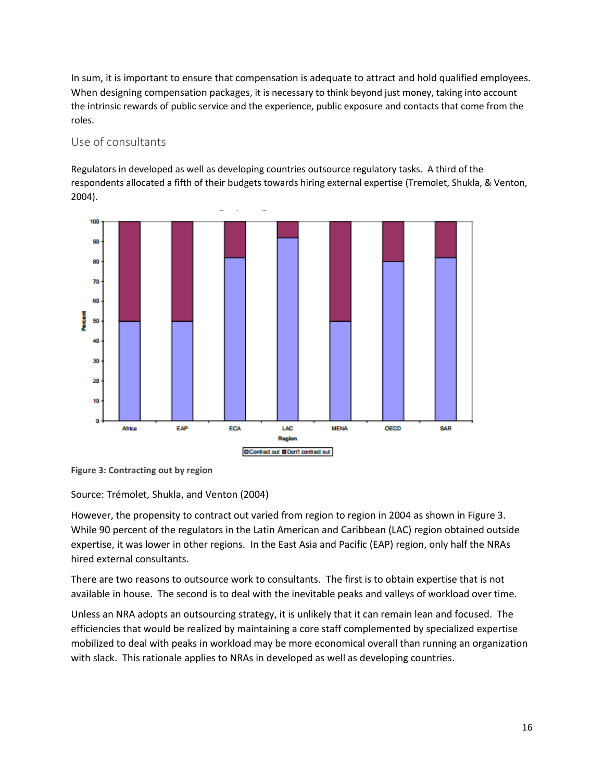In sum, it is important to ensure that compensation is adequate to attract and hold qualified employees. When designing compensation packages, it is necessary to think beyond just money, taking into account the intrinsic rewards of public service and the experience, public exposure and contacts that come from the roles.

#### <span id="page-15-0"></span>Use of consultants

Regulators in developed as well as developing countries outsource regulatory tasks. A third of the respondents allocated a fifth of their budgets towards hiring external expertise (Tremolet, Shukla, & Venton, 2004).



**Figure 3: Contracting out by region**

Source: Trémolet, Shukla, and Venton (2004)

However, the propensity to contract out varied from region to region in 2004 as shown in Figure 3. While 90 percent of the regulators in the Latin American and Caribbean (LAC) region obtained outside expertise, it was lower in other regions. In the East Asia and Pacific (EAP) region, only half the NRAs hired external consultants.

There are two reasons to outsource work to consultants. The first is to obtain expertise that is not available in house. The second is to deal with the inevitable peaks and valleys of workload over time.

Unless an NRA adopts an outsourcing strategy, it is unlikely that it can remain lean and focused. The efficiencies that would be realized by maintaining a core staff complemented by specialized expertise mobilized to deal with peaks in workload may be more economical overall than running an organization with slack. This rationale applies to NRAs in developed as well as developing countries.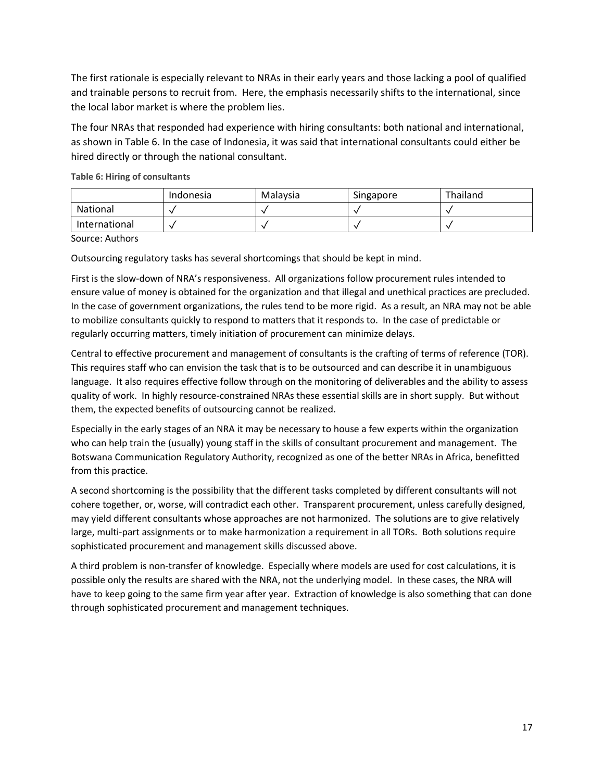The first rationale is especially relevant to NRAs in their early years and those lacking a pool of qualified and trainable persons to recruit from. Here, the emphasis necessarily shifts to the international, since the local labor market is where the problem lies.

The four NRAs that responded had experience with hiring consultants: both national and international, as shown in Table 6. In the case of Indonesia, it was said that international consultants could either be hired directly or through the national consultant.

**Table 6: Hiring of consultants**

|               | Indonesia | Malaysia | Singapore | Thailand |
|---------------|-----------|----------|-----------|----------|
| National      |           |          |           |          |
| International |           |          |           |          |

Source: Authors

Outsourcing regulatory tasks has several shortcomings that should be kept in mind.

First is the slow-down of NRA's responsiveness. All organizations follow procurement rules intended to ensure value of money is obtained for the organization and that illegal and unethical practices are precluded. In the case of government organizations, the rules tend to be more rigid. As a result, an NRA may not be able to mobilize consultants quickly to respond to matters that it responds to. In the case of predictable or regularly occurring matters, timely initiation of procurement can minimize delays.

Central to effective procurement and management of consultants is the crafting of terms of reference (TOR). This requires staff who can envision the task that is to be outsourced and can describe it in unambiguous language. It also requires effective follow through on the monitoring of deliverables and the ability to assess quality of work. In highly resource-constrained NRAs these essential skills are in short supply. But without them, the expected benefits of outsourcing cannot be realized.

Especially in the early stages of an NRA it may be necessary to house a few experts within the organization who can help train the (usually) young staff in the skills of consultant procurement and management. The Botswana Communication Regulatory Authority, recognized as one of the better NRAs in Africa, benefitted from this practice.

A second shortcoming is the possibility that the different tasks completed by different consultants will not cohere together, or, worse, will contradict each other. Transparent procurement, unless carefully designed, may yield different consultants whose approaches are not harmonized. The solutions are to give relatively large, multi-part assignments or to make harmonization a requirement in all TORs. Both solutions require sophisticated procurement and management skills discussed above.

A third problem is non-transfer of knowledge. Especially where models are used for cost calculations, it is possible only the results are shared with the NRA, not the underlying model. In these cases, the NRA will have to keep going to the same firm year after year. Extraction of knowledge is also something that can done through sophisticated procurement and management techniques.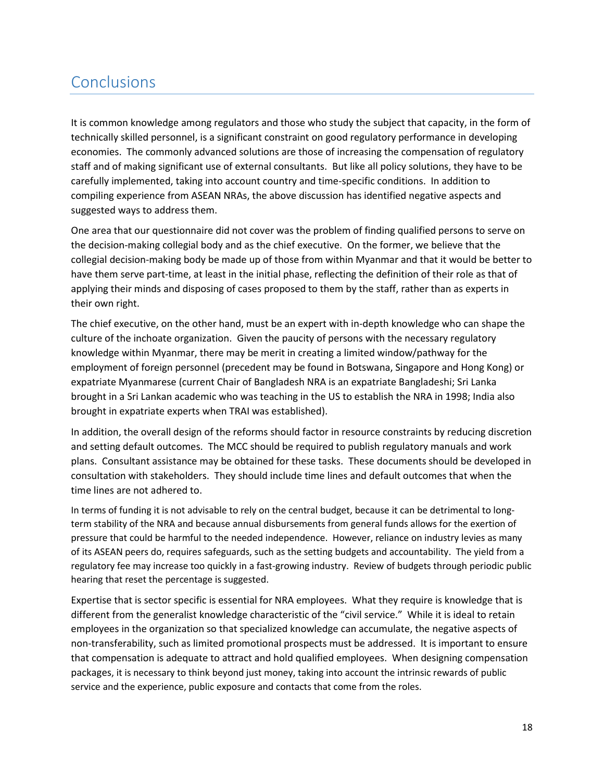### <span id="page-17-0"></span>**Conclusions**

It is common knowledge among regulators and those who study the subject that capacity, in the form of technically skilled personnel, is a significant constraint on good regulatory performance in developing economies. The commonly advanced solutions are those of increasing the compensation of regulatory staff and of making significant use of external consultants. But like all policy solutions, they have to be carefully implemented, taking into account country and time-specific conditions. In addition to compiling experience from ASEAN NRAs, the above discussion has identified negative aspects and suggested ways to address them.

One area that our questionnaire did not cover was the problem of finding qualified persons to serve on the decision-making collegial body and as the chief executive. On the former, we believe that the collegial decision-making body be made up of those from within Myanmar and that it would be better to have them serve part-time, at least in the initial phase, reflecting the definition of their role as that of applying their minds and disposing of cases proposed to them by the staff, rather than as experts in their own right.

The chief executive, on the other hand, must be an expert with in-depth knowledge who can shape the culture of the inchoate organization. Given the paucity of persons with the necessary regulatory knowledge within Myanmar, there may be merit in creating a limited window/pathway for the employment of foreign personnel (precedent may be found in Botswana, Singapore and Hong Kong) or expatriate Myanmarese (current Chair of Bangladesh NRA is an expatriate Bangladeshi; Sri Lanka brought in a Sri Lankan academic who was teaching in the US to establish the NRA in 1998; India also brought in expatriate experts when TRAI was established).

In addition, the overall design of the reforms should factor in resource constraints by reducing discretion and setting default outcomes. The MCC should be required to publish regulatory manuals and work plans. Consultant assistance may be obtained for these tasks. These documents should be developed in consultation with stakeholders. They should include time lines and default outcomes that when the time lines are not adhered to.

In terms of funding it is not advisable to rely on the central budget, because it can be detrimental to longterm stability of the NRA and because annual disbursements from general funds allows for the exertion of pressure that could be harmful to the needed independence. However, reliance on industry levies as many of its ASEAN peers do, requires safeguards, such as the setting budgets and accountability. The yield from a regulatory fee may increase too quickly in a fast-growing industry. Review of budgets through periodic public hearing that reset the percentage is suggested.

Expertise that is sector specific is essential for NRA employees. What they require is knowledge that is different from the generalist knowledge characteristic of the "civil service." While it is ideal to retain employees in the organization so that specialized knowledge can accumulate, the negative aspects of non-transferability, such as limited promotional prospects must be addressed. It is important to ensure that compensation is adequate to attract and hold qualified employees. When designing compensation packages, it is necessary to think beyond just money, taking into account the intrinsic rewards of public service and the experience, public exposure and contacts that come from the roles.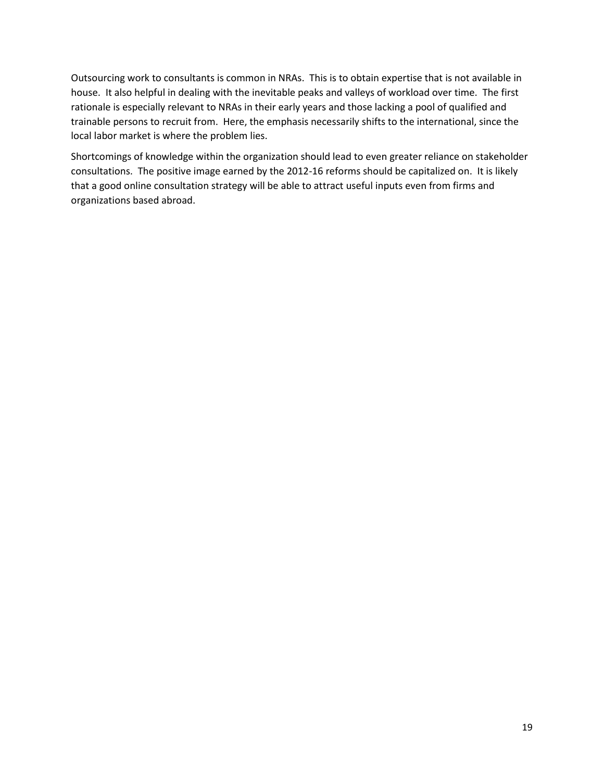Outsourcing work to consultants is common in NRAs. This is to obtain expertise that is not available in house. It also helpful in dealing with the inevitable peaks and valleys of workload over time. The first rationale is especially relevant to NRAs in their early years and those lacking a pool of qualified and trainable persons to recruit from. Here, the emphasis necessarily shifts to the international, since the local labor market is where the problem lies.

Shortcomings of knowledge within the organization should lead to even greater reliance on stakeholder consultations. The positive image earned by the 2012-16 reforms should be capitalized on. It is likely that a good online consultation strategy will be able to attract useful inputs even from firms and organizations based abroad.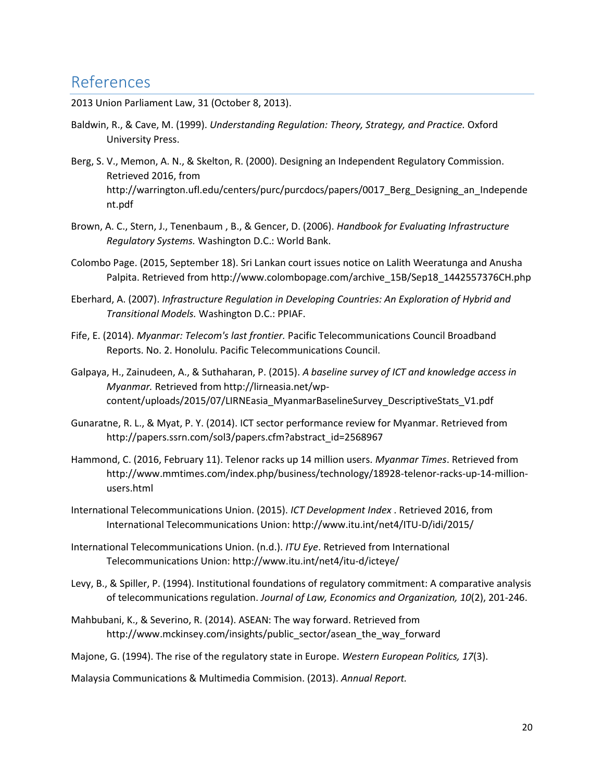#### <span id="page-19-0"></span>References

2013 Union Parliament Law, 31 (October 8, 2013).

- Baldwin, R., & Cave, M. (1999). *Understanding Regulation: Theory, Strategy, and Practice.* Oxford University Press.
- Berg, S. V., Memon, A. N., & Skelton, R. (2000). Designing an Independent Regulatory Commission. Retrieved 2016, from http://warrington.ufl.edu/centers/purc/purcdocs/papers/0017\_Berg\_Designing\_an\_Independe nt.pdf
- Brown, A. C., Stern, J., Tenenbaum , B., & Gencer, D. (2006). *Handbook for Evaluating Infrastructure Regulatory Systems.* Washington D.C.: World Bank.
- Colombo Page. (2015, September 18). Sri Lankan court issues notice on Lalith Weeratunga and Anusha Palpita. Retrieved from http://www.colombopage.com/archive\_15B/Sep18\_1442557376CH.php
- Eberhard, A. (2007). *Infrastructure Regulation in Developing Countries: An Exploration of Hybrid and Transitional Models.* Washington D.C.: PPIAF.
- Fife, E. (2014). *Myanmar: Telecom's last frontier.* Pacific Telecommunications Council Broadband Reports. No. 2. Honolulu. Pacific Telecommunications Council.
- Galpaya, H., Zainudeen, A., & Suthaharan, P. (2015). *A baseline survey of ICT and knowledge access in Myanmar.* Retrieved from http://lirneasia.net/wpcontent/uploads/2015/07/LIRNEasia\_MyanmarBaselineSurvey\_DescriptiveStats\_V1.pdf
- Gunaratne, R. L., & Myat, P. Y. (2014). ICT sector performance review for Myanmar. Retrieved from http://papers.ssrn.com/sol3/papers.cfm?abstract\_id=2568967
- Hammond, C. (2016, February 11). Telenor racks up 14 million users. *Myanmar Times*. Retrieved from http://www.mmtimes.com/index.php/business/technology/18928-telenor-racks-up-14-millionusers.html
- International Telecommunications Union. (2015). *ICT Development Index* . Retrieved 2016, from International Telecommunications Union: http://www.itu.int/net4/ITU-D/idi/2015/
- International Telecommunications Union. (n.d.). *ITU Eye*. Retrieved from International Telecommunications Union: http://www.itu.int/net4/itu-d/icteye/
- Levy, B., & Spiller, P. (1994). Institutional foundations of regulatory commitment: A comparative analysis of telecommunications regulation. *Journal of Law, Economics and Organization, 10*(2), 201-246.
- Mahbubani, K., & Severino, R. (2014). ASEAN: The way forward. Retrieved from http://www.mckinsey.com/insights/public\_sector/asean\_the\_way\_forward
- Majone, G. (1994). The rise of the regulatory state in Europe. *Western European Politics, 17*(3).

Malaysia Communications & Multimedia Commision. (2013). *Annual Report.*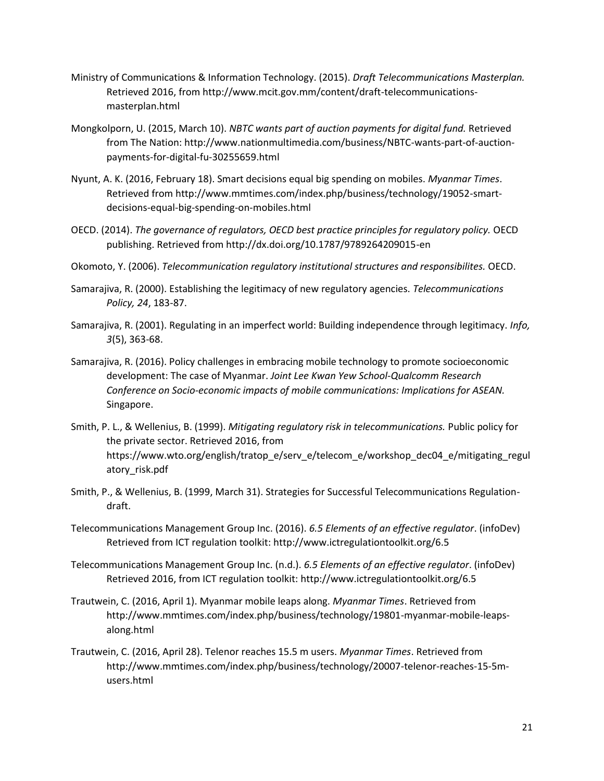- Ministry of Communications & Information Technology. (2015). *Draft Telecommunications Masterplan.* Retrieved 2016, from http://www.mcit.gov.mm/content/draft-telecommunicationsmasterplan.html
- Mongkolporn, U. (2015, March 10). *NBTC wants part of auction payments for digital fund.* Retrieved from The Nation: http://www.nationmultimedia.com/business/NBTC-wants-part-of-auctionpayments-for-digital-fu-30255659.html
- Nyunt, A. K. (2016, February 18). Smart decisions equal big spending on mobiles. *Myanmar Times*. Retrieved from http://www.mmtimes.com/index.php/business/technology/19052-smartdecisions-equal-big-spending-on-mobiles.html
- OECD. (2014). *The governance of regulators, OECD best practice principles for regulatory policy.* OECD publishing. Retrieved from http://dx.doi.org/10.1787/9789264209015-en
- Okomoto, Y. (2006). *Telecommunication regulatory institutional structures and responsibilites.* OECD.
- Samarajiva, R. (2000). Establishing the legitimacy of new regulatory agencies. *Telecommunications Policy, 24*, 183-87.
- Samarajiva, R. (2001). Regulating in an imperfect world: Building independence through legitimacy. *Info, 3*(5), 363-68.
- Samarajiva, R. (2016). Policy challenges in embracing mobile technology to promote socioeconomic development: The case of Myanmar. *Joint Lee Kwan Yew School-Qualcomm Research Conference on Socio-economic impacts of mobile communications: Implications for ASEAN.* Singapore.
- Smith, P. L., & Wellenius, B. (1999). *Mitigating regulatory risk in telecommunications.* Public policy for the private sector. Retrieved 2016, from https://www.wto.org/english/tratop\_e/serv\_e/telecom\_e/workshop\_dec04\_e/mitigating\_regul atory\_risk.pdf
- Smith, P., & Wellenius, B. (1999, March 31). Strategies for Successful Telecommunications Regulationdraft.
- Telecommunications Management Group Inc. (2016). *6.5 Elements of an effective regulator*. (infoDev) Retrieved from ICT regulation toolkit: http://www.ictregulationtoolkit.org/6.5
- Telecommunications Management Group Inc. (n.d.). *6.5 Elements of an effective regulator*. (infoDev) Retrieved 2016, from ICT regulation toolkit: http://www.ictregulationtoolkit.org/6.5
- Trautwein, C. (2016, April 1). Myanmar mobile leaps along. *Myanmar Times*. Retrieved from http://www.mmtimes.com/index.php/business/technology/19801-myanmar-mobile-leapsalong.html
- Trautwein, C. (2016, April 28). Telenor reaches 15.5 m users. *Myanmar Times*. Retrieved from http://www.mmtimes.com/index.php/business/technology/20007-telenor-reaches-15-5musers.html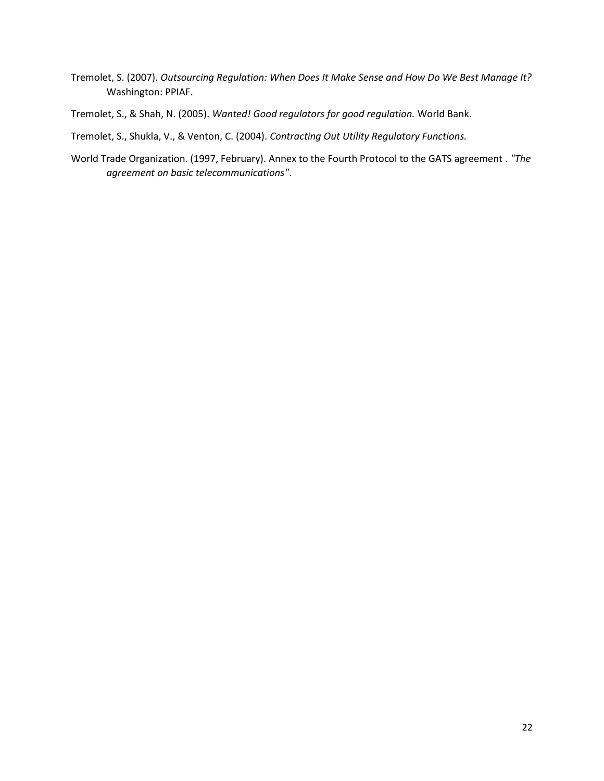Tremolet, S. (2007). *Outsourcing Regulation: When Does It Make Sense and How Do We Best Manage It?* Washington: PPIAF.

Tremolet, S., & Shah, N. (2005). *Wanted! Good regulators for good regulation.* World Bank.

Tremolet, S., Shukla, V., & Venton, C. (2004). *Contracting Out Utility Regulatory Functions.*

World Trade Organization. (1997, February). Annex to the Fourth Protocol to the GATS agreement . *"The agreement on basic telecommunications"*.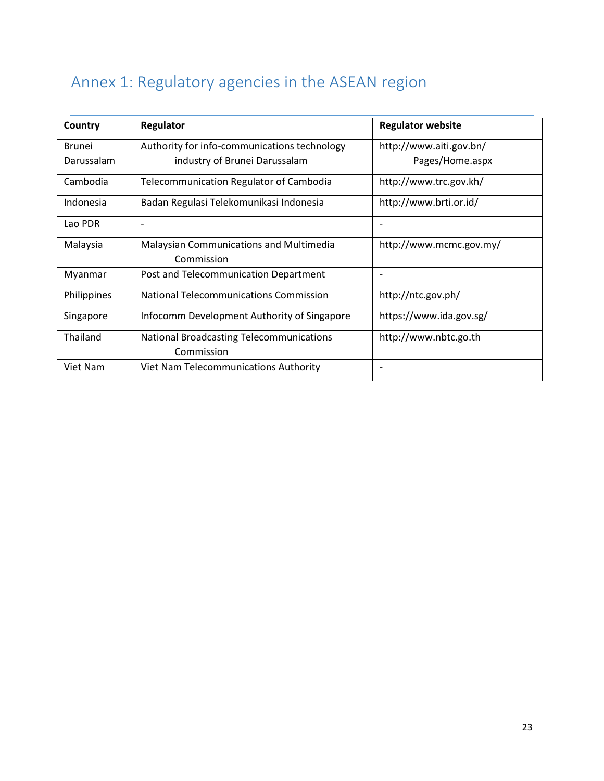# <span id="page-22-0"></span>Annex 1: Regulatory agencies in the ASEAN region

| Country       | Regulator                                       | <b>Regulator website</b> |
|---------------|-------------------------------------------------|--------------------------|
| <b>Brunei</b> | Authority for info-communications technology    | http://www.aiti.gov.bn/  |
| Darussalam    | industry of Brunei Darussalam                   | Pages/Home.aspx          |
| Cambodia      | Telecommunication Regulator of Cambodia         | http://www.trc.gov.kh/   |
| Indonesia     | Badan Regulasi Telekomunikasi Indonesia         | http://www.brti.or.id/   |
| Lao PDR       |                                                 |                          |
| Malaysia      | Malaysian Communications and Multimedia         | http://www.mcmc.gov.my/  |
|               | Commission                                      |                          |
| Myanmar       | Post and Telecommunication Department           |                          |
| Philippines   | <b>National Telecommunications Commission</b>   | http://ntc.gov.ph/       |
| Singapore     | Infocomm Development Authority of Singapore     | https://www.ida.gov.sg/  |
| Thailand      | <b>National Broadcasting Telecommunications</b> | http://www.nbtc.go.th    |
|               | Commission                                      |                          |
| Viet Nam      | <b>Viet Nam Telecommunications Authority</b>    |                          |